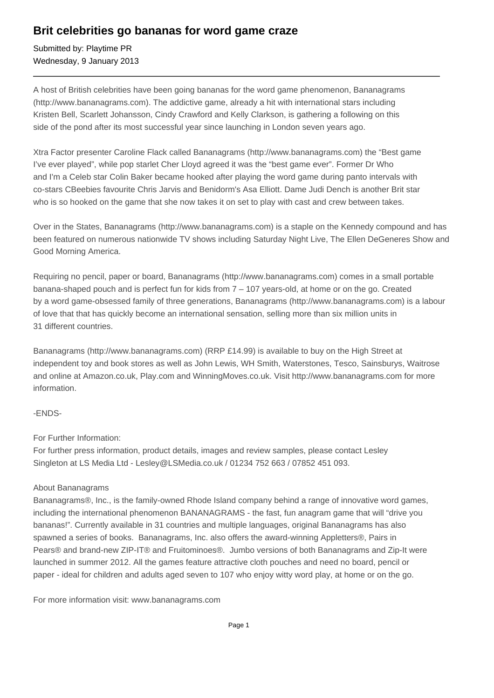## **Brit celebrities go bananas for word game craze**

Submitted by: Playtime PR Wednesday, 9 January 2013

A host of British celebrities have been going bananas for the word game phenomenon, Bananagrams (http://www.bananagrams.com). The addictive game, already a hit with international stars including Kristen Bell, Scarlett Johansson, Cindy Crawford and Kelly Clarkson, is gathering a following on this side of the pond after its most successful year since launching in London seven years ago.

Xtra Factor presenter Caroline Flack called Bananagrams (http://www.bananagrams.com) the "Best game I've ever played", while pop starlet Cher Lloyd agreed it was the "best game ever". Former Dr Who and I'm a Celeb star Colin Baker became hooked after playing the word game during panto intervals with co-stars CBeebies favourite Chris Jarvis and Benidorm's Asa Elliott. Dame Judi Dench is another Brit star who is so hooked on the game that she now takes it on set to play with cast and crew between takes.

Over in the States, Bananagrams (http://www.bananagrams.com) is a staple on the Kennedy compound and has been featured on numerous nationwide TV shows including Saturday Night Live, The Ellen DeGeneres Show and Good Morning America.

Requiring no pencil, paper or board, Bananagrams (http://www.bananagrams.com) comes in a small portable banana-shaped pouch and is perfect fun for kids from 7 – 107 years-old, at home or on the go. Created by a word game-obsessed family of three generations, Bananagrams (http://www.bananagrams.com) is a labour of love that that has quickly become an international sensation, selling more than six million units in 31 different countries.

Bananagrams (http://www.bananagrams.com) (RRP £14.99) is available to buy on the High Street at independent toy and book stores as well as John Lewis, WH Smith, Waterstones, Tesco, Sainsburys, Waitrose and online at Amazon.co.uk, Play.com and WinningMoves.co.uk. Visit http://www.bananagrams.com for more information.

## -ENDS-

For Further Information:

For further press information, product details, images and review samples, please contact Lesley Singleton at LS Media Ltd - Lesley@LSMedia.co.uk / 01234 752 663 / 07852 451 093.

## About Bananagrams

Bananagrams®, Inc., is the family-owned Rhode Island company behind a range of innovative word games, including the international phenomenon BANANAGRAMS - the fast, fun anagram game that will "drive you bananas!". Currently available in 31 countries and multiple languages, original Bananagrams has also spawned a series of books. Bananagrams, Inc. also offers the award-winning Appletters®, Pairs in Pears® and brand-new ZIP-IT® and Fruitominoes®. Jumbo versions of both Bananagrams and Zip-It were launched in summer 2012. All the games feature attractive cloth pouches and need no board, pencil or paper - ideal for children and adults aged seven to 107 who enjoy witty word play, at home or on the go.

For more information visit: www.bananagrams.com